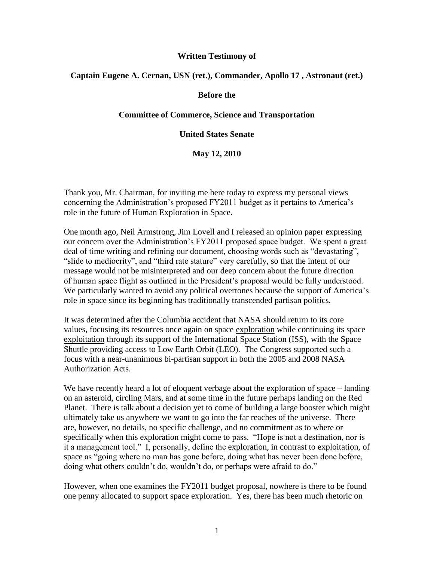# **Written Testimony of**

# **Captain Eugene A. Cernan, USN (ret.), Commander, Apollo 17 , Astronaut (ret.)**

#### **Before the**

### **Committee of Commerce, Science and Transportation**

#### **United States Senate**

**May 12, 2010**

Thank you, Mr. Chairman, for inviting me here today to express my personal views concerning the Administration's proposed FY2011 budget as it pertains to America's role in the future of Human Exploration in Space.

One month ago, Neil Armstrong, Jim Lovell and I released an opinion paper expressing our concern over the Administration's FY2011 proposed space budget. We spent a great deal of time writing and refining our document, choosing words such as "devastating", "slide to mediocrity", and "third rate stature" very carefully, so that the intent of our message would not be misinterpreted and our deep concern about the future direction of human space flight as outlined in the President's proposal would be fully understood. We particularly wanted to avoid any political overtones because the support of America's role in space since its beginning has traditionally transcended partisan politics.

It was determined after the Columbia accident that NASA should return to its core values, focusing its resources once again on space exploration while continuing its space exploitation through its support of the International Space Station (ISS), with the Space Shuttle providing access to Low Earth Orbit (LEO). The Congress supported such a focus with a near-unanimous bi-partisan support in both the 2005 and 2008 NASA Authorization Acts.

We have recently heard a lot of eloquent verbage about the exploration of space – landing on an asteroid, circling Mars, and at some time in the future perhaps landing on the Red Planet. There is talk about a decision yet to come of building a large booster which might ultimately take us anywhere we want to go into the far reaches of the universe. There are, however, no details, no specific challenge, and no commitment as to where or specifically when this exploration might come to pass. "Hope is not a destination, nor is it a management tool." I, personally, define the exploration, in contrast to exploitation, of space as "going where no man has gone before, doing what has never been done before, doing what others couldn't do, wouldn't do, or perhaps were afraid to do."

However, when one examines the FY2011 budget proposal, nowhere is there to be found one penny allocated to support space exploration. Yes, there has been much rhetoric on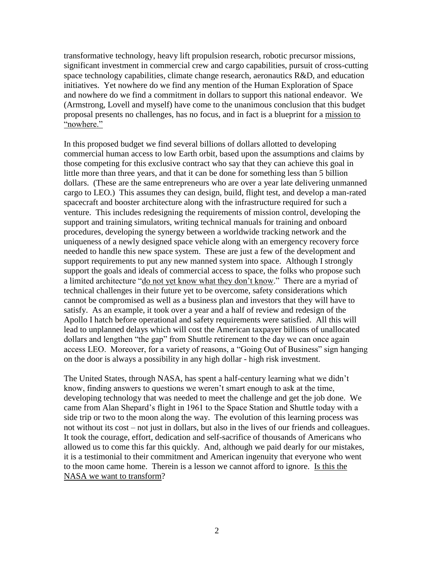transformative technology, heavy lift propulsion research, robotic precursor missions, significant investment in commercial crew and cargo capabilities, pursuit of cross-cutting space technology capabilities, climate change research, aeronautics R&D, and education initiatives. Yet nowhere do we find any mention of the Human Exploration of Space and nowhere do we find a commitment in dollars to support this national endeavor. We (Armstrong, Lovell and myself) have come to the unanimous conclusion that this budget proposal presents no challenges, has no focus, and in fact is a blueprint for a mission to "nowhere."

In this proposed budget we find several billions of dollars allotted to developing commercial human access to low Earth orbit, based upon the assumptions and claims by those competing for this exclusive contract who say that they can achieve this goal in little more than three years, and that it can be done for something less than 5 billion dollars. (These are the same entrepreneurs who are over a year late delivering unmanned cargo to LEO.) This assumes they can design, build, flight test, and develop a man-rated spacecraft and booster architecture along with the infrastructure required for such a venture. This includes redesigning the requirements of mission control, developing the support and training simulators, writing technical manuals for training and onboard procedures, developing the synergy between a worldwide tracking network and the uniqueness of a newly designed space vehicle along with an emergency recovery force needed to handle this new space system. These are just a few of the development and support requirements to put any new manned system into space. Although I strongly support the goals and ideals of commercial access to space, the folks who propose such a limited architecture "do not yet know what they don't know." There are a myriad of technical challenges in their future yet to be overcome, safety considerations which cannot be compromised as well as a business plan and investors that they will have to satisfy. As an example, it took over a year and a half of review and redesign of the Apollo I hatch before operational and safety requirements were satisfied. All this will lead to unplanned delays which will cost the American taxpayer billions of unallocated dollars and lengthen "the gap" from Shuttle retirement to the day we can once again access LEO. Moreover, for a variety of reasons, a "Going Out of Business" sign hanging on the door is always a possibility in any high dollar - high risk investment.

The United States, through NASA, has spent a half-century learning what we didn't know, finding answers to questions we weren't smart enough to ask at the time, developing technology that was needed to meet the challenge and get the job done. We came from Alan Shepard's flight in 1961 to the Space Station and Shuttle today with a side trip or two to the moon along the way. The evolution of this learning process was not without its cost – not just in dollars, but also in the lives of our friends and colleagues. It took the courage, effort, dedication and self-sacrifice of thousands of Americans who allowed us to come this far this quickly. And, although we paid dearly for our mistakes, it is a testimonial to their commitment and American ingenuity that everyone who went to the moon came home. Therein is a lesson we cannot afford to ignore. Is this the NASA we want to transform?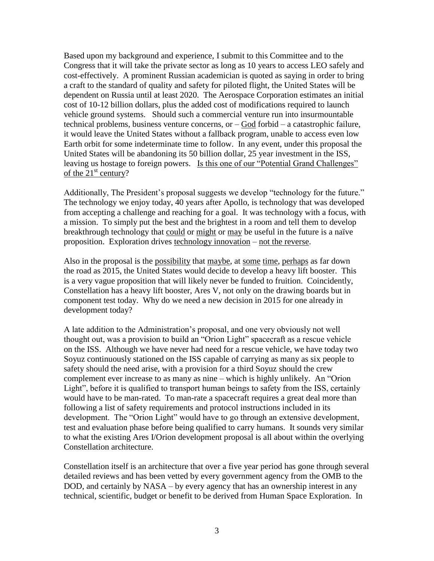Based upon my background and experience, I submit to this Committee and to the Congress that it will take the private sector as long as 10 years to access LEO safely and cost-effectively. A prominent Russian academician is quoted as saying in order to bring a craft to the standard of quality and safety for piloted flight, the United States will be dependent on Russia until at least 2020. The Aerospace Corporation estimates an initial cost of 10-12 billion dollars, plus the added cost of modifications required to launch vehicle ground systems. Should such a commercial venture run into insurmountable technical problems, business venture concerns, or – God forbid – a catastrophic failure, it would leave the United States without a fallback program, unable to access even low Earth orbit for some indeterminate time to follow. In any event, under this proposal the United States will be abandoning its 50 billion dollar, 25 year investment in the ISS, leaving us hostage to foreign powers. Is this one of our "Potential Grand Challenges" of the  $21<sup>st</sup>$  century?

Additionally, The President's proposal suggests we develop "technology for the future." The technology we enjoy today, 40 years after Apollo, is technology that was developed from accepting a challenge and reaching for a goal. It was technology with a focus, with a mission. To simply put the best and the brightest in a room and tell them to develop breakthrough technology that could or might or may be useful in the future is a naïve proposition. Exploration drives technology innovation – not the reverse.

Also in the proposal is the possibility that maybe, at some time, perhaps as far down the road as 2015, the United States would decide to develop a heavy lift booster. This is a very vague proposition that will likely never be funded to fruition. Coincidently, Constellation has a heavy lift booster, Ares V, not only on the drawing boards but in component test today. Why do we need a new decision in 2015 for one already in development today?

A late addition to the Administration's proposal, and one very obviously not well thought out, was a provision to build an "Orion Light" spacecraft as a rescue vehicle on the ISS. Although we have never had need for a rescue vehicle, we have today two Soyuz continuously stationed on the ISS capable of carrying as many as six people to safety should the need arise, with a provision for a third Soyuz should the crew complement ever increase to as many as nine – which is highly unlikely. An "Orion Light", before it is qualified to transport human beings to safety from the ISS, certainly would have to be man-rated. To man-rate a spacecraft requires a great deal more than following a list of safety requirements and protocol instructions included in its development. The "Orion Light" would have to go through an extensive development, test and evaluation phase before being qualified to carry humans. It sounds very similar to what the existing Ares I/Orion development proposal is all about within the overlying Constellation architecture.

Constellation itself is an architecture that over a five year period has gone through several detailed reviews and has been vetted by every government agency from the OMB to the DOD, and certainly by NASA – by every agency that has an ownership interest in any technical, scientific, budget or benefit to be derived from Human Space Exploration. In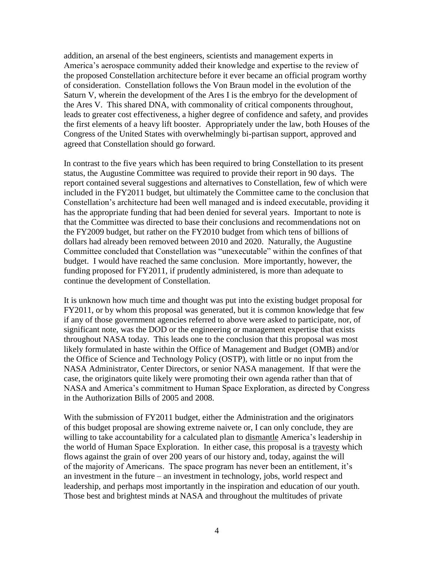addition, an arsenal of the best engineers, scientists and management experts in America's aerospace community added their knowledge and expertise to the review of the proposed Constellation architecture before it ever became an official program worthy of consideration. Constellation follows the Von Braun model in the evolution of the Saturn V, wherein the development of the Ares I is the embryo for the development of the Ares V. This shared DNA, with commonality of critical components throughout, leads to greater cost effectiveness, a higher degree of confidence and safety, and provides the first elements of a heavy lift booster. Appropriately under the law, both Houses of the Congress of the United States with overwhelmingly bi-partisan support, approved and agreed that Constellation should go forward.

In contrast to the five years which has been required to bring Constellation to its present status, the Augustine Committee was required to provide their report in 90 days. The report contained several suggestions and alternatives to Constellation, few of which were included in the FY2011 budget, but ultimately the Committee came to the conclusion that Constellation's architecture had been well managed and is indeed executable, providing it has the appropriate funding that had been denied for several years. Important to note is that the Committee was directed to base their conclusions and recommendations not on the FY2009 budget, but rather on the FY2010 budget from which tens of billions of dollars had already been removed between 2010 and 2020. Naturally, the Augustine Committee concluded that Constellation was "unexecutable" within the confines of that budget. I would have reached the same conclusion. More importantly, however, the funding proposed for FY2011, if prudently administered, is more than adequate to continue the development of Constellation.

It is unknown how much time and thought was put into the existing budget proposal for FY2011, or by whom this proposal was generated, but it is common knowledge that few if any of those government agencies referred to above were asked to participate, nor, of significant note, was the DOD or the engineering or management expertise that exists throughout NASA today. This leads one to the conclusion that this proposal was most likely formulated in haste within the Office of Management and Budget (OMB) and/or the Office of Science and Technology Policy (OSTP), with little or no input from the NASA Administrator, Center Directors, or senior NASA management. If that were the case, the originators quite likely were promoting their own agenda rather than that of NASA and America's commitment to Human Space Exploration, as directed by Congress in the Authorization Bills of 2005 and 2008.

With the submission of FY2011 budget, either the Administration and the originators of this budget proposal are showing extreme naivete or, I can only conclude, they are willing to take accountability for a calculated plan to dismantle America's leadership in the world of Human Space Exploration. In either case, this proposal is a travesty which flows against the grain of over 200 years of our history and, today, against the will of the majority of Americans. The space program has never been an entitlement, it's an investment in the future – an investment in technology, jobs, world respect and leadership, and perhaps most importantly in the inspiration and education of our youth. Those best and brightest minds at NASA and throughout the multitudes of private